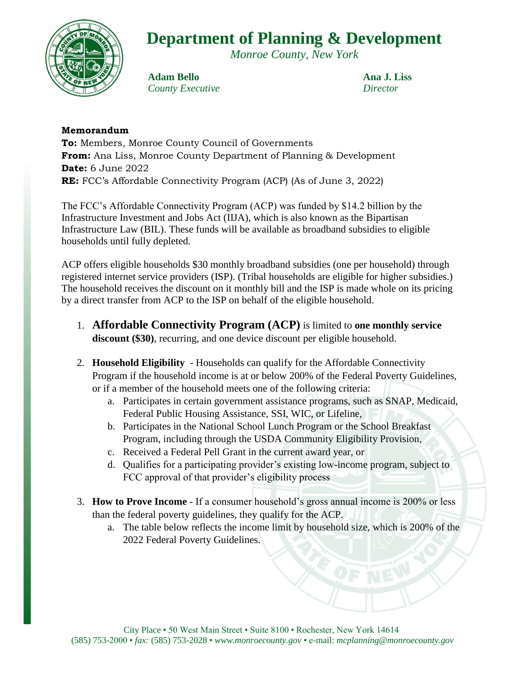

*Monroe County, New York*



**Adam Bello Ana J. Liss** *County Executive Director*

## **Memorandum**

**To:** Members, Monroe County Council of Governments **From:** Ana Liss, Monroe County Department of Planning & Development **Date:** 6 June 2022 **RE:** FCC's Affordable Connectivity Program (ACP) (As of June 3, 2022)

The FCC's Affordable Connectivity Program (ACP) was funded by \$14.2 billion by the Infrastructure Investment and Jobs Act (IIJA), which is also known as the Bipartisan Infrastructure Law (BIL). These funds will be available as broadband subsidies to eligible households until fully depleted.

ACP offers eligible households \$30 monthly broadband subsidies (one per household) through registered internet service providers (ISP). (Tribal households are eligible for higher subsidies.) The household receives the discount on it monthly bill and the ISP is made whole on its pricing by a direct transfer from ACP to the ISP on behalf of the eligible household.

- 1. **Affordable Connectivity Program (ACP)** is limited to **one monthly service discount (\$30)**, recurring, and one device discount per eligible household.
- 2. **Household Eligibility** Households can qualify for the Affordable Connectivity Program if the household income is at or below 200% of the Federal Poverty Guidelines, or if a member of the household meets one of the following criteria:
	- a. Participates in certain government assistance programs, such as SNAP, Medicaid, Federal Public Housing Assistance, SSI, WIC, or Lifeline,
	- b. Participates in the National School Lunch Program or the School Breakfast Program, including through the USDA Community Eligibility Provision,
	- c. Received a Federal Pell Grant in the current award year, or
	- d. Qualifies for a participating provider's existing low-income program, subject to FCC approval of that provider's eligibility process
- 3. **How to Prove Income** If a consumer household's gross annual income is 200% or less than the federal poverty guidelines, they qualify for the ACP.
	- a. The table below reflects the income limit by household size, which is 200% of the 2022 Federal Poverty Guidelines.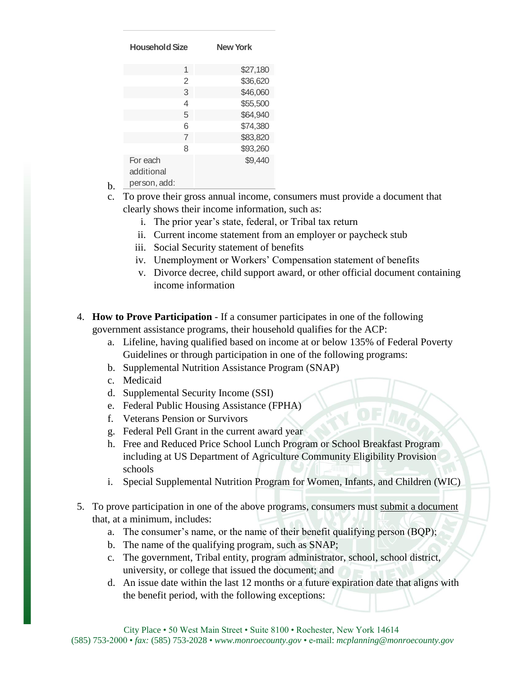| <b>Household Size</b>                 |                | <b>New York</b> |
|---------------------------------------|----------------|-----------------|
|                                       | 1              | \$27,180        |
|                                       | $\overline{2}$ | \$36,620        |
|                                       | 3              | \$46,060        |
|                                       | 4              | \$55,500        |
|                                       | 5              | \$64,940        |
|                                       | 6              | \$74,380        |
|                                       | $\overline{7}$ | \$83,820        |
|                                       | 8              | \$93,260        |
| For each<br>additional<br>narcon add: |                | \$9,440         |

b. person, add:

c. To prove their gross annual income, consumers must provide a document that clearly shows their income information, such as:

- i. The prior year's state, federal, or Tribal tax return
- ii. Current income statement from an employer or paycheck stub
- iii. Social Security statement of benefits
- iv. Unemployment or Workers' Compensation statement of benefits
- v. Divorce decree, child support award, or other official document containing income information
- 4. **How to Prove Participation** If a consumer participates in one of the following government assistance programs, their household qualifies for the ACP:
	- a. Lifeline, having qualified based on income at or below 135% of Federal Poverty Guidelines or through participation in one of the following programs:
	- b. Supplemental Nutrition Assistance Program (SNAP)
	- c. Medicaid
	- d. Supplemental Security Income (SSI)
	- e. Federal Public Housing Assistance (FPHA)
	- f. Veterans Pension or Survivors
	- g. Federal Pell Grant in the current award year
	- h. Free and Reduced Price School Lunch Program or School Breakfast Program including at US Department of Agriculture Community Eligibility Provision schools
	- i. Special Supplemental Nutrition Program for Women, Infants, and Children (WIC)
- 5. To prove participation in one of the above programs, consumers must submit a document that, at a minimum, includes:
	- a. The consumer's name, or the name of their benefit qualifying person (BQP);
	- b. The name of the qualifying program, such as SNAP;
	- c. The government, Tribal entity, program administrator, school, school district, university, or college that issued the document; and
	- d. An issue date within the last 12 months or a future expiration date that aligns with the benefit period, with the following exceptions: